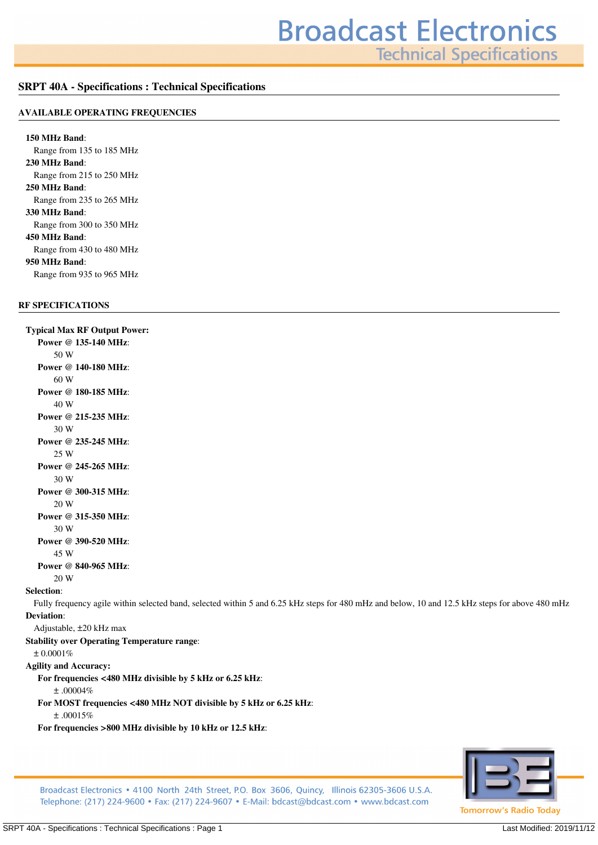**Technical Specifications** 

#### **SRPT 40A - Specifications : Technical Specifications**

#### **AVAILABLE OPERATING FREQUENCIES**

**150 MHz Band***: Range from 135 to 185 MHz* **230 MHz Band***: Range from 215 to 250 MHz* **250 MHz Band***: Range from 235 to 265 MHz* **330 MHz Band***: Range from 300 to 350 MHz* **450 MHz Band***: Range from 430 to 480 MHz* **950 MHz Band***: Range from 935 to 965 MHz*

### **RF SPECIFICATIONS**

**Typical Max RF Output Power: Power @ 135-140 MHz***: 50 W* **Power @ 140-180 MHz***: 60 W* **Power @ 180-185 MHz***: 40 W* **Power @ 215-235 MHz***: 30 W* **Power @ 235-245 MHz***: 25 W* **Power @ 245-265 MHz***: 30 W* **Power @ 300-315 MHz***: 20 W* **Power @ 315-350 MHz***: 30 W* **Power @ 390-520 MHz***: 45 W* **Power @ 840-965 MHz***: 20 W* **Selection***: Fully frequency agile within selected band, selected within 5 and 6.25 kHz steps for 480 mHz and below, 10 and 12.5 kHz steps for above 480 mHz* **Deviation***: Adjustable, ±20 kHz max* **Stability over Operating Temperature range***: ± 0.0001%* **Agility and Accuracy: For frequencies <480 MHz divisible by 5 kHz or 6.25 kHz***: ± .00004%* **For MOST frequencies <480 MHz NOT divisible by 5 kHz or 6.25 kHz***: ± .00015%* **For frequencies >800 MHz divisible by 10 kHz or 12.5 kHz***:*



Broadcast Electronics • 4100 North 24th Street, P.O. Box 3606, Quincy, Illinois 62305-3606 U.S.A. Telephone: (217) 224-9600 • Fax: (217) 224-9607 • E-Mail: bdcast@bdcast.com • www.bdcast.com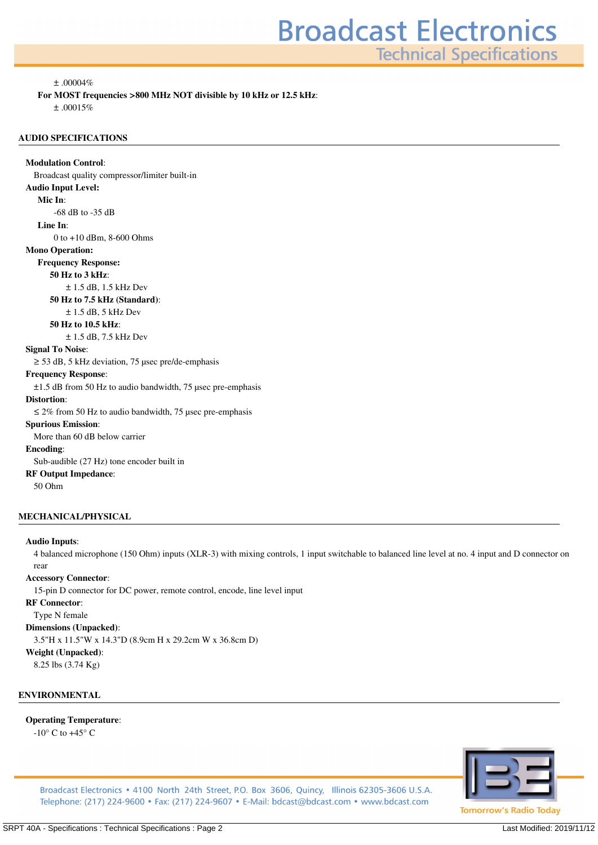**Technical Specifications** 

*± .00004%*

**For MOST frequencies >800 MHz NOT divisible by 10 kHz or 12.5 kHz***:*

*± .00015%*

#### **AUDIO SPECIFICATIONS**

**Modulation Control***: Broadcast quality compressor/limiter built-in* **Audio Input Level: Mic In***: -68 dB to -35 dB* **Line In***: 0 to +10 dBm, 8-600 Ohms* **Mono Operation: Frequency Response: 50 Hz to 3 kHz***: ± 1.5 dB, 1.5 kHz Dev* **50 Hz to 7.5 kHz (Standard)***: ± 1.5 dB, 5 kHz Dev* **50 Hz to 10.5 kHz***: ± 1.5 dB, 7.5 kHz Dev* **Signal To Noise***: ≥ 53 dB, 5 kHz deviation, 75 µsec pre/de-emphasis* **Frequency Response***:*

*±1.5 dB from 50 Hz to audio bandwidth, 75 µsec pre-emphasis*

#### **Distortion***:*

*≤ 2% from 50 Hz to audio bandwidth, 75 µsec pre-emphasis*

**Spurious Emission***:*

*More than 60 dB below carrier*

#### **Encoding***:*

*Sub-audible (27 Hz) tone encoder built in* **RF Output Impedance***:*

*50 Ohm*

#### **MECHANICAL/PHYSICAL**

#### **Audio Inputs***:*

*4 balanced microphone (150 Ohm) inputs (XLR-3) with mixing controls, 1 input switchable to balanced line level at no. 4 input and D connector on rear*

#### **Accessory Connector***:*

*15-pin D connector for DC power, remote control, encode, line level input*

#### **RF Connector***:*

*Type N female*

**Dimensions (Unpacked)***:*

*3.5"H x 11.5"W x 14.3"D (8.9cm H x 29.2cm W x 36.8cm D)*

#### **Weight (Unpacked)***:*

*8.25 lbs (3.74 Kg)*

#### **ENVIRONMENTAL**

#### **Operating Temperature***:*

*-10° C to +45° C*



Broadcast Electronics • 4100 North 24th Street, P.O. Box 3606, Quincy, Illinois 62305-3606 U.S.A. Telephone: (217) 224-9600 • Fax: (217) 224-9607 • E-Mail: bdcast@bdcast.com • www.bdcast.com